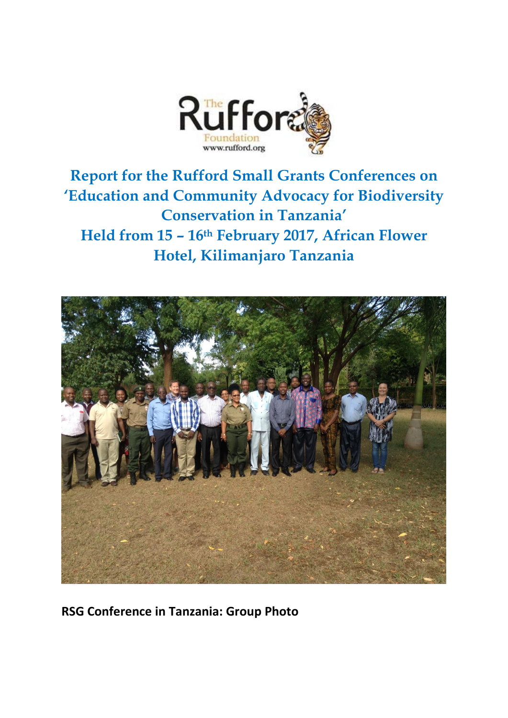

**Report for the Rufford Small Grants Conferences on 'Education and Community Advocacy for Biodiversity Conservation in Tanzania' Held from 15 – 16th February 2017, African Flower Hotel, Kilimanjaro Tanzania**



**RSG Conference in Tanzania: Group Photo**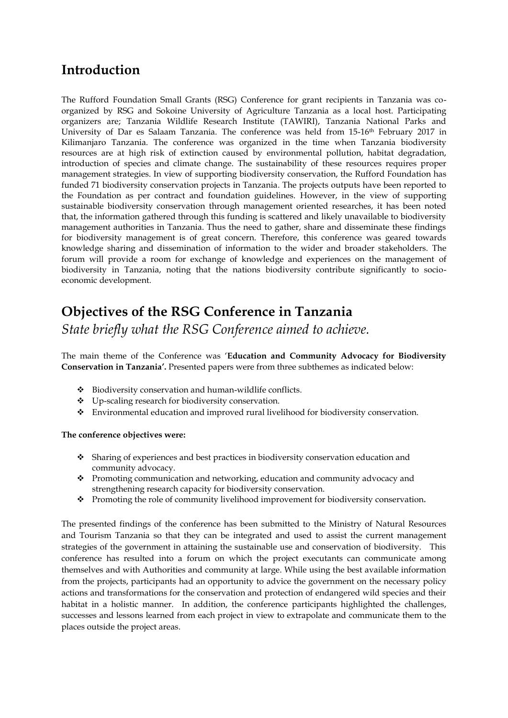# **Introduction**

The Rufford Foundation Small Grants (RSG) Conference for grant recipients in Tanzania was coorganized by RSG and Sokoine University of Agriculture Tanzania as a local host. Participating organizers are; Tanzania Wildlife Research Institute (TAWIRI), Tanzania National Parks and University of Dar es Salaam Tanzania. The conference was held from 15-16th February 2017 in Kilimanjaro Tanzania. The conference was organized in the time when Tanzania biodiversity resources are at high risk of extinction caused by environmental pollution, habitat degradation, introduction of species and climate change. The sustainability of these resources requires proper management strategies. In view of supporting biodiversity conservation, the Rufford Foundation has funded 71 biodiversity conservation projects in Tanzania. The projects outputs have been reported to the Foundation as per contract and foundation guidelines. However, in the view of supporting sustainable biodiversity conservation through management oriented researches, it has been noted that, the information gathered through this funding is scattered and likely unavailable to biodiversity management authorities in Tanzania. Thus the need to gather, share and disseminate these findings for biodiversity management is of great concern. Therefore, this conference was geared towards knowledge sharing and dissemination of information to the wider and broader stakeholders. The forum will provide a room for exchange of knowledge and experiences on the management of biodiversity in Tanzania, noting that the nations biodiversity contribute significantly to socioeconomic development.

# **Objectives of the RSG Conference in Tanzania** *State briefly what the RSG Conference aimed to achieve.*

The main theme of the Conference was '**Education and Community Advocacy for Biodiversity Conservation in Tanzania'.** Presented papers were from three subthemes as indicated below:

- ◆ Biodiversity conservation and human-wildlife conflicts.
- \* Up-scaling research for biodiversity conservation.
- Environmental education and improved rural livelihood for biodiversity conservation.

## **The conference objectives were:**

- Sharing of experiences and best practices in biodiversity conservation education and community advocacy.
- \* Promoting communication and networking, education and community advocacy and strengthening research capacity for biodiversity conservation.
- Promoting the role of community livelihood improvement for biodiversity conservation**.**

The presented findings of the conference has been submitted to the Ministry of Natural Resources and Tourism Tanzania so that they can be integrated and used to assist the current management strategies of the government in attaining the sustainable use and conservation of biodiversity. This conference has resulted into a forum on which the project executants can communicate among themselves and with Authorities and community at large. While using the best available information from the projects, participants had an opportunity to advice the government on the necessary policy actions and transformations for the conservation and protection of endangered wild species and their habitat in a holistic manner. In addition, the conference participants highlighted the challenges, successes and lessons learned from each project in view to extrapolate and communicate them to the places outside the project areas.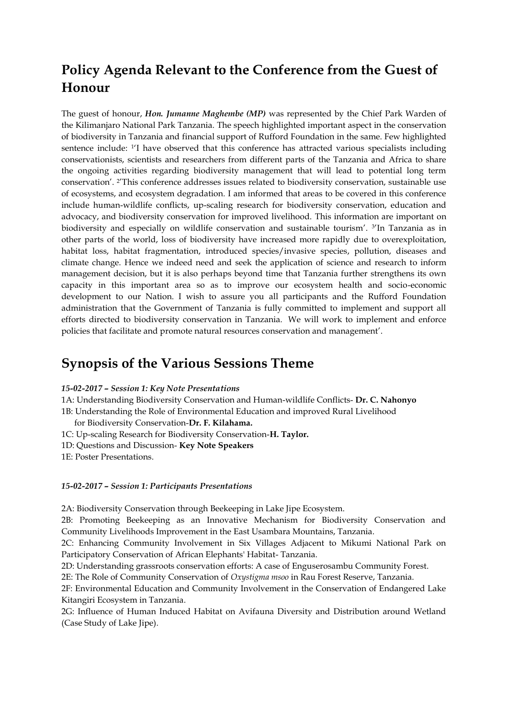# **Policy Agenda Relevant to the Conference from the Guest of Honour**

The guest of honour, *Hon. Jumanne Maghembe (MP)* was represented by the Chief Park Warden of the Kilimanjaro National Park Tanzania. The speech highlighted important aspect in the conservation of biodiversity in Tanzania and financial support of Rufford Foundation in the same. Few highlighted sentence include: <sup>1</sup>I have observed that this conference has attracted various specialists including conservationists, scientists and researchers from different parts of the Tanzania and Africa to share the ongoing activities regarding biodiversity management that will lead to potential long term conservation'. 2 'This conference addresses issues related to biodiversity conservation, sustainable use of ecosystems, and ecosystem degradation*.* I am informed that areas to be covered in this conference include human-wildlife conflicts, up-scaling research for biodiversity conservation, education and advocacy, and biodiversity conservation for improved livelihood. This information are important on biodiversity and especially on wildlife conservation and sustainable tourism'. <sup>3</sup>'In Tanzania as in other parts of the world, loss of biodiversity have increased more rapidly due to overexploitation, habitat loss, habitat fragmentation, introduced species/invasive species, pollution, diseases and climate change. Hence we indeed need and seek the application of science and research to inform management decision, but it is also perhaps beyond time that Tanzania further strengthens its own capacity in this important area so as to improve our ecosystem health and socio-economic development to our Nation. I wish to assure you all participants and the Rufford Foundation administration that the Government of Tanzania is fully committed to implement and support all efforts directed to biodiversity conservation in Tanzania. We will work to implement and enforce policies that facilitate and promote natural resources conservation and management'.

# **Synopsis of the Various Sessions Theme**

- *15-02-2017 – Session 1: Key Note Presentations*
- 1A: Understanding Biodiversity Conservation and Human-wildlife Conflicts- **Dr. C. Nahonyo**

1B: Understanding the Role of Environmental Education and improved Rural Livelihood

for Biodiversity Conservation-**Dr. F. Kilahama.**

- 1C: Up-scaling Research for Biodiversity Conservation-**H. Taylor.**
- 1D: Questions and Discussion- **Key Note Speakers**

1E: Poster Presentations.

#### *15-02-2017 – Session 1: Participants Presentations*

2A: Biodiversity Conservation through Beekeeping in Lake Jipe Ecosystem.

2B: Promoting Beekeeping as an Innovative Mechanism for Biodiversity Conservation and Community Livelihoods Improvement in the East Usambara Mountains, Tanzania.

2C: Enhancing Community Involvement in Six Villages Adjacent to Mikumi National Park on Participatory Conservation of African Elephants' Habitat- Tanzania.

2D: Understanding grassroots conservation efforts: A case of Enguserosambu Community Forest.

2E: The Role of Community Conservation of *Oxystigma msoo* in Rau Forest Reserve, Tanzania.

2F: Environmental Education and Community Involvement in the Conservation of Endangered Lake Kitangiri Ecosystem in Tanzania.

2G: Influence of Human Induced Habitat on Avifauna Diversity and Distribution around Wetland (Case Study of Lake Jipe).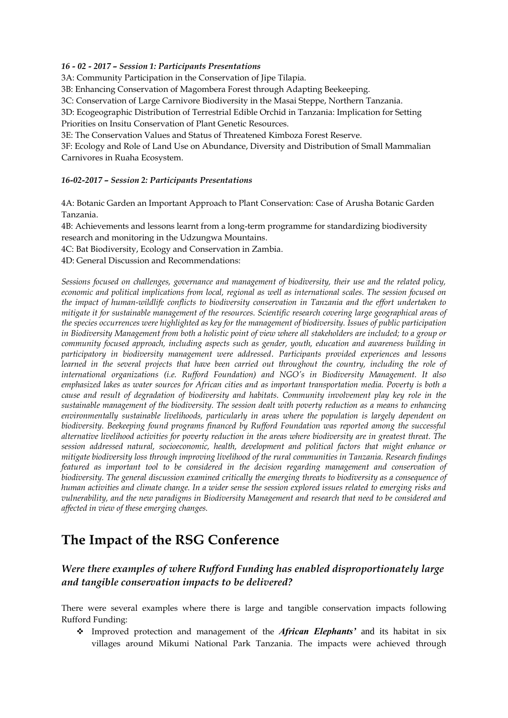## *16 - 02 - 2017 – Session 1: Participants Presentations*

3A: Community Participation in the Conservation of Jipe Tilapia.

3B: Enhancing Conservation of Magombera Forest through Adapting Beekeeping.

3C: Conservation of Large Carnivore Biodiversity in the Masai Steppe, Northern Tanzania.

3D: Ecogeographic Distribution of Terrestrial Edible Orchid in Tanzania: Implication for Setting

Priorities on Insitu Conservation of Plant Genetic Resources.

3E: The Conservation Values and Status of Threatened Kimboza Forest Reserve.

3F: Ecology and Role of Land Use on Abundance, Diversity and Distribution of Small Mammalian Carnivores in Ruaha Ecosystem.

## *16-02-2017 – Session 2: Participants Presentations*

4A: Botanic Garden an Important Approach to Plant Conservation: Case of Arusha Botanic Garden Tanzania.

4B: Achievements and lessons learnt from a long-term programme for standardizing biodiversity research and monitoring in the Udzungwa Mountains.

4C: Bat Biodiversity, Ecology and Conservation in Zambia.

4D: General Discussion and Recommendations:

*Sessions focused on challenges, governance and management of biodiversity, their use and the related policy, economic and political implications from local, regional as well as international scales. The session focused on the impact of human-wildlife conflicts to biodiversity conservation in Tanzania and the effort undertaken to mitigate it for sustainable management of the resources. Scientific research covering large geographical areas of the species occurrences were highlighted as key for the management of biodiversity. Issues of public participation in Biodiversity Management from both a holistic point of view where all stakeholders are included; to a group or community focused approach, including aspects such as gender, youth, education and awareness building in participatory in biodiversity management were addressed*. *Participants provided experiences and lessons learned in the several projects that have been carried out throughout the country, including the role of international organizations (i.e. Rufford Foundation) and NGO's in Biodiversity Management. It also emphasized lakes as water sources for African cities and as important transportation media. Poverty is both a cause and result of degradation of biodiversity and habitats. Community involvement play key role in the sustainable management of the biodiversity. The session dealt with poverty reduction as a means to enhancing environmentally sustainable livelihoods, particularly in areas where the population is largely dependent on biodiversity. Beekeeping found programs financed by Rufford Foundation was reported among the successful alternative livelihood activities for poverty reduction in the areas where biodiversity are in greatest threat. The session addressed natural, socioeconomic, health, development and political factors that might enhance or mitigate biodiversity loss through improving livelihood of the rural communities in Tanzania. Research findings featured as important tool to be considered in the decision regarding management and conservation of biodiversity. The general discussion examined critically the emerging threats to biodiversity as a consequence of human activities and climate change. In a wider sense the session explored issues related to emerging risks and vulnerability, and the new paradigms in Biodiversity Management and research that need to be considered and affected in view of these emerging changes.*

# **The Impact of the RSG Conference**

# *Were there examples of where Rufford Funding has enabled disproportionately large and tangible conservation impacts to be delivered?*

There were several examples where there is large and tangible conservation impacts following Rufford Funding:

 Improved protection and management of the *African Elephants'* and its habitat in six villages around Mikumi National Park Tanzania. The impacts were achieved through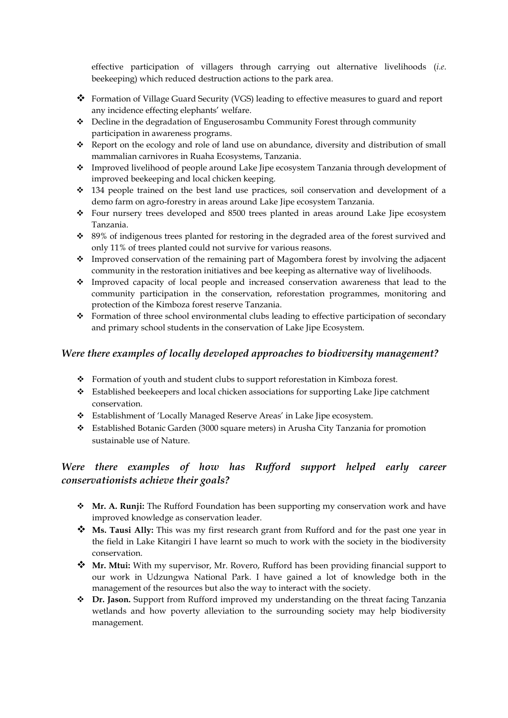effective participation of villagers through carrying out alternative livelihoods (*i.e*. beekeeping) which reduced destruction actions to the park area.

- Formation of Village Guard Security (VGS) leading to effective measures to guard and report any incidence effecting elephants' welfare.
- Decline in the degradation of Enguserosambu Community Forest through community participation in awareness programs.
- \* Report on the ecology and role of land use on abundance, diversity and distribution of small mammalian carnivores in Ruaha Ecosystems, Tanzania.
- \* Improved livelihood of people around Lake Jipe ecosystem Tanzania through development of improved beekeeping and local chicken keeping.
- $\div$  134 people trained on the best land use practices, soil conservation and development of a demo farm on agro-forestry in areas around Lake Jipe ecosystem Tanzania.
- $\div$  Four nursery trees developed and 8500 trees planted in areas around Lake Jipe ecosystem Tanzania.
- \* 89% of indigenous trees planted for restoring in the degraded area of the forest survived and only 11% of trees planted could not survive for various reasons.
- Improved conservation of the remaining part of Magombera forest by involving the adjacent community in the restoration initiatives and bee keeping as alternative way of livelihoods.
- Improved capacity of local people and increased conservation awareness that lead to the community participation in the conservation, reforestation programmes, monitoring and protection of the Kimboza forest reserve Tanzania.
- Formation of three school environmental clubs leading to effective participation of secondary and primary school students in the conservation of Lake Jipe Ecosystem.

## *Were there examples of locally developed approaches to biodiversity management?*

- Formation of youth and student clubs to support reforestation in Kimboza forest.
- Established beekeepers and local chicken associations for supporting Lake Jipe catchment conservation.
- Establishment of 'Locally Managed Reserve Areas' in Lake Jipe ecosystem.
- Established Botanic Garden (3000 square meters) in Arusha City Tanzania for promotion sustainable use of Nature.

# Were there examples of how has Rufford support helped early career *conservationists achieve their goals?*

- **Mr. A. Runji:** The Rufford Foundation has been supporting my conservation work and have improved knowledge as conservation leader.
- **Ms. Tausi Ally:** This was my first research grant from Rufford and for the past one year in the field in Lake Kitangiri I have learnt so much to work with the society in the biodiversity conservation.
- **Mr. Mtui:** With my supervisor, Mr. Rovero, Rufford has been providing financial support to our work in Udzungwa National Park. I have gained a lot of knowledge both in the management of the resources but also the way to interact with the society.
- **Dr. Jason.** Support from Rufford improved my understanding on the threat facing Tanzania wetlands and how poverty alleviation to the surrounding society may help biodiversity management.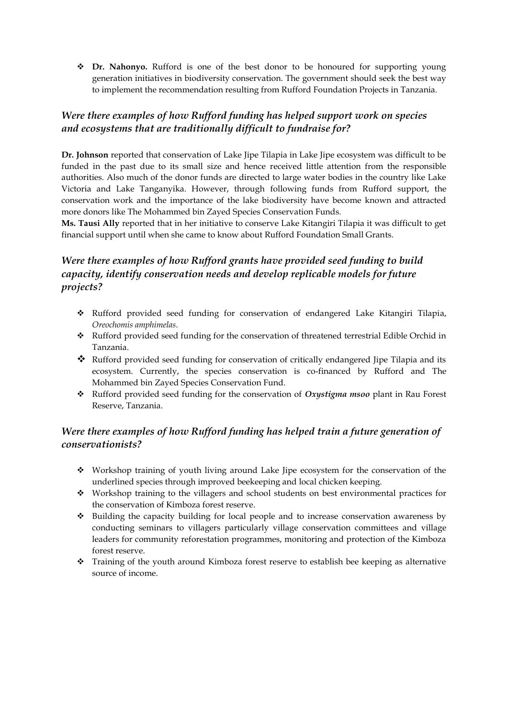**Dr. Nahonyo.** Rufford is one of the best donor to be honoured for supporting young generation initiatives in biodiversity conservation. The government should seek the best way to implement the recommendation resulting from Rufford Foundation Projects in Tanzania.

# *Were there examples of how Rufford funding has helped support work on species and ecosystems that are traditionally difficult to fundraise for?*

**Dr. Johnson** reported that conservation of Lake Jipe Tilapia in Lake Jipe ecosystem was difficult to be funded in the past due to its small size and hence received little attention from the responsible authorities. Also much of the donor funds are directed to large water bodies in the country like Lake Victoria and Lake Tanganyika. However, through following funds from Rufford support, the conservation work and the importance of the lake biodiversity have become known and attracted more donors like The Mohammed bin Zayed Species Conservation Funds.

**Ms. Tausi Ally** reported that in her initiative to conserve Lake Kitangiri Tilapia it was difficult to get financial support until when she came to know about Rufford Foundation Small Grants.

# *Were there examples of how Rufford grants have provided seed funding to build capacity, identify conservation needs and develop replicable models for future projects?*

- Rufford provided seed funding for conservation of endangered Lake Kitangiri Tilapia, *Oreochomis amphimelas*.
- Rufford provided seed funding for the conservation of threatened terrestrial Edible Orchid in Tanzania.
- Rufford provided seed funding for conservation of critically endangered Jipe Tilapia and its ecosystem. Currently, the species conservation is co-financed by Rufford and The Mohammed bin Zayed Species Conservation Fund.
- Rufford provided seed funding for the conservation of *Oxystigma msoo* plant in Rau Forest Reserve, Tanzania.

# *Were there examples of how Rufford funding has helped train a future generation of conservationists?*

- Workshop training of youth living around Lake Jipe ecosystem for the conservation of the underlined species through improved beekeeping and local chicken keeping.
- Workshop training to the villagers and school students on best environmental practices for the conservation of Kimboza forest reserve.
- Building the capacity building for local people and to increase conservation awareness by conducting seminars to villagers particularly village conservation committees and village leaders for community reforestation programmes, monitoring and protection of the Kimboza forest reserve.
- Training of the youth around Kimboza forest reserve to establish bee keeping as alternative source of income.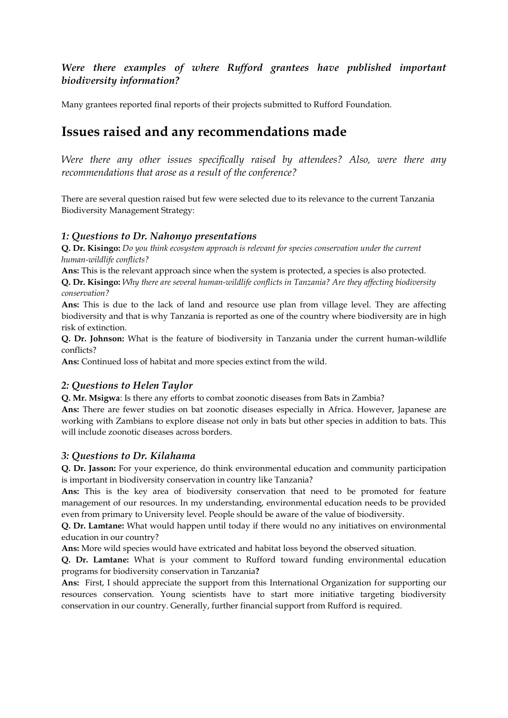# *Were there examples of where Rufford grantees have published important biodiversity information?*

Many grantees reported final reports of their projects submitted to Rufford Foundation.

# **Issues raised and any recommendations made**

*Were there any other issues specifically raised by attendees? Also, were there any recommendations that arose as a result of the conference?*

There are several question raised but few were selected due to its relevance to the current Tanzania Biodiversity Management Strategy:

## *1: Questions to Dr. Nahonyo presentations*

**Q. Dr. Kisingo:** *Do you think ecosystem approach is relevant for species conservation under the current human-wildlife conflicts?*

**Ans:** This is the relevant approach since when the system is protected, a species is also protected.

**Q. Dr. Kisingo:** *Why there are several human-wildlife conflicts in Tanzania? Are they affecting biodiversity conservation?*

**Ans:** This is due to the lack of land and resource use plan from village level. They are affecting biodiversity and that is why Tanzania is reported as one of the country where biodiversity are in high risk of extinction.

**Q. Dr. Johnson:** What is the feature of biodiversity in Tanzania under the current human-wildlife conflicts?

**Ans:** Continued loss of habitat and more species extinct from the wild.

## *2: Questions to Helen Taylor*

**Q. Mr. Msigwa**: Is there any efforts to combat zoonotic diseases from Bats in Zambia?

**Ans:** There are fewer studies on bat zoonotic diseases especially in Africa. However, Japanese are working with Zambians to explore disease not only in bats but other species in addition to bats. This will include zoonotic diseases across borders.

## *3: Questions to Dr. Kilahama*

**Q. Dr. Jasson:** For your experience, do think environmental education and community participation is important in biodiversity conservation in country like Tanzania?

**Ans:** This is the key area of biodiversity conservation that need to be promoted for feature management of our resources. In my understanding, environmental education needs to be provided even from primary to University level. People should be aware of the value of biodiversity.

**Q. Dr. Lamtane:** What would happen until today if there would no any initiatives on environmental education in our country?

**Ans:** More wild species would have extricated and habitat loss beyond the observed situation.

**Q. Dr. Lamtane:** What is your comment to Rufford toward funding environmental education programs for biodiversity conservation in Tanzania**?**

**Ans:** First, I should appreciate the support from this International Organization for supporting our resources conservation. Young scientists have to start more initiative targeting biodiversity conservation in our country. Generally, further financial support from Rufford is required.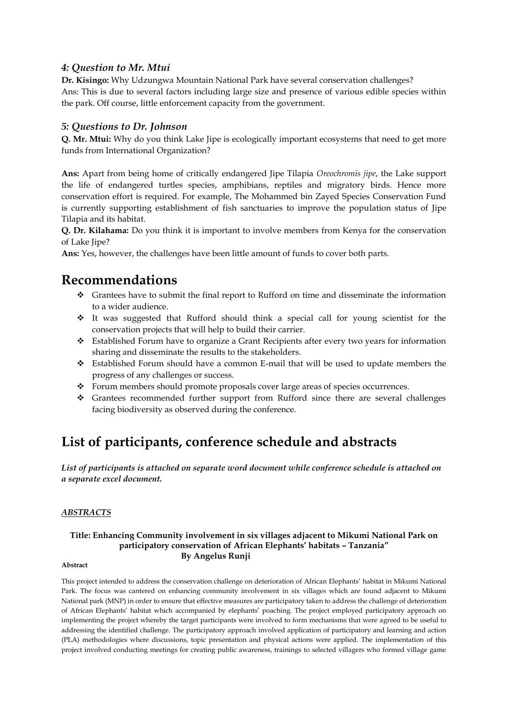## *4: Question to Mr. Mtui*

**Dr. Kisingo:** Why Udzungwa Mountain National Park have several conservation challenges? Ans: This is due to several factors including large size and presence of various edible species within the park. Off course, little enforcement capacity from the government.

## *5: Questions to Dr. Johnson*

**Q. Mr. Mtui:** Why do you think Lake Jipe is ecologically important ecosystems that need to get more funds from International Organization?

**Ans:** Apart from being home of critically endangered Jipe Tilapia *Oreochromis jipe*, the Lake support the life of endangered turtles species, amphibians, reptiles and migratory birds. Hence more conservation effort is required. For example, The Mohammed bin Zayed Species Conservation Fund is currently supporting establishment of fish sanctuaries to improve the population status of Jipe Tilapia and its habitat.

**Q. Dr. Kilahama:** Do you think it is important to involve members from Kenya for the conservation of Lake Jipe?

**Ans:** Yes, however, the challenges have been little amount of funds to cover both parts.

# **Recommendations**

- Grantees have to submit the final report to Rufford on time and disseminate the information to a wider audience.
- $\div$  It was suggested that Rufford should think a special call for young scientist for the conservation projects that will help to build their carrier.
- Established Forum have to organize a Grant Recipients after every two years for information sharing and disseminate the results to the stakeholders.
- Established Forum should have a common E-mail that will be used to update members the progress of any challenges or success.
- Forum members should promote proposals cover large areas of species occurrences.
- Grantees recommended further support from Rufford since there are several challenges facing biodiversity as observed during the conference.

# **List of participants, conference schedule and abstracts**

*List of participants is attached on separate word document while conference schedule is attached on a separate excel document.*

## *ABSTRACTS*

## **Title: Enhancing Community involvement in six villages adjacent to Mikumi National Park on participatory conservation of African Elephants' habitats – Tanzania" By Angelus Runji**

#### **Abstract**

This project intended to address the conservation challenge on deterioration of African Elephants' habitat in Mikumi National Park. The focus was cantered on enhancing community involvement in six villages which are found adjacent to Mikumi National park (MNP) in order to ensure that effective measures are participatory taken to address the challenge of deterioration of African Elephants' habitat which accompanied by elephants' poaching. The project employed participatory approach on implementing the project whereby the target participants were involved to form mechanisms that were agreed to be useful to addressing the identified challenge. The participatory approach involved application of participatory and learning and action (PLA) methodologies where discussions, topic presentation and physical actions were applied. The implementation of this project involved conducting meetings for creating public awareness, trainings to selected villagers who formed village game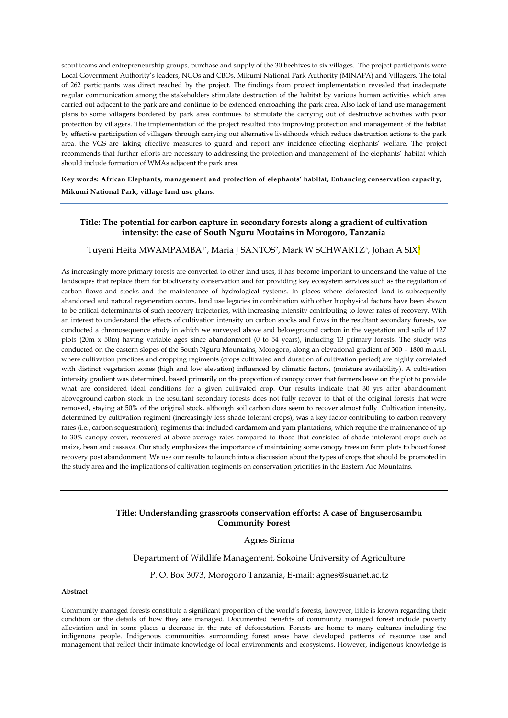scout teams and entrepreneurship groups, purchase and supply of the 30 beehives to six villages. The project participants were Local Government Authority's leaders, NGOs and CBOs, Mikumi National Park Authority (MINAPA) and Villagers. The total of 262 participants was direct reached by the project. The findings from project implementation revealed that inadequate regular communication among the stakeholders stimulate destruction of the habitat by various human activities which area carried out adjacent to the park are and continue to be extended encroaching the park area. Also lack of land use management plans to some villagers bordered by park area continues to stimulate the carrying out of destructive activities with poor protection by villagers. The implementation of the project resulted into improving protection and management of the habitat by effective participation of villagers through carrying out alternative livelihoods which reduce destruction actions to the park area, the VGS are taking effective measures to guard and report any incidence effecting elephants' welfare. The project recommends that further efforts are necessary to addressing the protection and management of the elephants' habitat which should include formation of WMAs adjacent the park area.

**Key words: African Elephants, management and protection of elephants' habitat, Enhancing conservation capacity,** 

**Mikumi National Park, village land use plans.** 

### **Title: The potential for carbon capture in secondary forests along a gradient of cultivation intensity: the case of South Nguru Moutains in Morogoro, Tanzania**

#### Tuyeni Heita MWAMPAMBA<sup>1\*</sup>, Maria J SANTOS<sup>2</sup>, Mark W SCHWARTZ<sup>3</sup>, Johan A SIX<mark>4</mark>

As increasingly more primary forests are converted to other land uses, it has become important to understand the value of the landscapes that replace them for biodiversity conservation and for providing key ecosystem services such as the regulation of carbon flows and stocks and the maintenance of hydrological systems. In places where deforested land is subsequently abandoned and natural regeneration occurs, land use legacies in combination with other biophysical factors have been shown to be critical determinants of such recovery trajectories, with increasing intensity contributing to lower rates of recovery. With an interest to understand the effects of cultivation intensity on carbon stocks and flows in the resultant secondary forests, we conducted a chronosequence study in which we surveyed above and belowground carbon in the vegetation and soils of 127 plots (20m x 50m) having variable ages since abandonment (0 to 54 years), including 13 primary forests. The study was conducted on the eastern slopes of the South Nguru Mountains, Morogoro, along an elevational gradient of 300 – 1800 m.a.s.l. where cultivation practices and cropping regiments (crops cultivated and duration of cultivation period) are highly correlated with distinct vegetation zones (high and low elevation) influenced by climatic factors, (moisture availability). A cultivation intensity gradient was determined, based primarily on the proportion of canopy cover that farmers leave on the plot to provide what are considered ideal conditions for a given cultivated crop. Our results indicate that 30 yrs after abandonment aboveground carbon stock in the resultant secondary forests does not fully recover to that of the original forests that were removed, staying at 50% of the original stock, although soil carbon does seem to recover almost fully. Cultivation intensity, determined by cultivation regiment (increasingly less shade tolerant crops), was a key factor contributing to carbon recovery rates (i.e., carbon sequestration); regiments that included cardamom and yam plantations, which require the maintenance of up to 30% canopy cover, recovered at above-average rates compared to those that consisted of shade intolerant crops such as maize, bean and cassava. Our study emphasizes the importance of maintaining some canopy trees on farm plots to boost forest recovery post abandonment. We use our results to launch into a discussion about the types of crops that should be promoted in the study area and the implications of cultivation regiments on conservation priorities in the Eastern Arc Mountains.

#### **Title: Understanding grassroots conservation efforts: A case of Enguserosambu Community Forest**

#### Agnes Sirima

Department of Wildlife Management, Sokoine University of Agriculture

P. O. Box 3073, Morogoro Tanzania, E-mail: agnes@suanet.ac.tz

#### **Abstract**

Community managed forests constitute a significant proportion of the world's forests, however, little is known regarding their condition or the details of how they are managed. Documented benefits of community managed forest include poverty alleviation and in some places a decrease in the rate of deforestation. Forests are home to many cultures including the indigenous people. Indigenous communities surrounding forest areas have developed patterns of resource use and management that reflect their intimate knowledge of local environments and ecosystems. However, indigenous knowledge is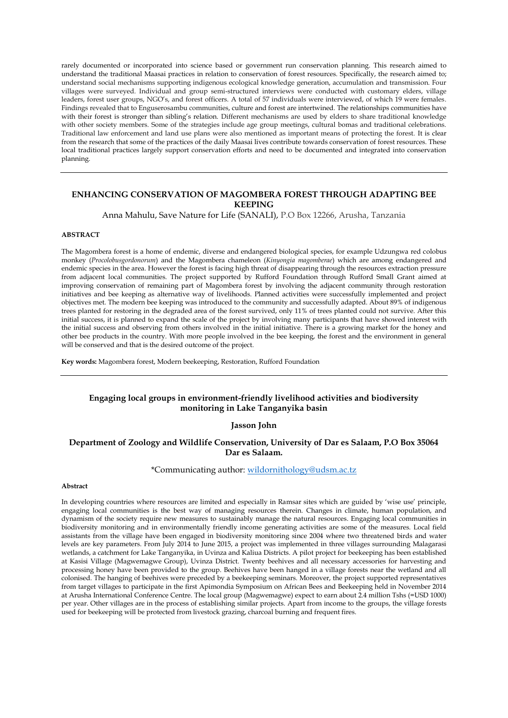rarely documented or incorporated into science based or government run conservation planning. This research aimed to understand the traditional Maasai practices in relation to conservation of forest resources. Specifically, the research aimed to; understand social mechanisms supporting indigenous ecological knowledge generation, accumulation and transmission. Four villages were surveyed. Individual and group semi-structured interviews were conducted with customary elders, village leaders, forest user groups, NGO's, and forest officers. A total of 57 individuals were interviewed, of which 19 were females. Findings revealed that to Enguserosambu communities, culture and forest are intertwined. The relationships communities have with their forest is stronger than sibling's relation. Different mechanisms are used by elders to share traditional knowledge with other society members. Some of the strategies include age group meetings, cultural bomas and traditional celebrations. Traditional law enforcement and land use plans were also mentioned as important means of protecting the forest. It is clear from the research that some of the practices of the daily Maasai lives contribute towards conservation of forest resources. These local traditional practices largely support conservation efforts and need to be documented and integrated into conservation planning.

### **ENHANCING CONSERVATION OF MAGOMBERA FOREST THROUGH ADAPTING BEE KEEPING**

Anna Mahulu, Save Nature for Life (SANALI), P.O Box 12266, Arusha, Tanzania

#### **ABSTRACT**

The Magombera forest is a home of endemic, diverse and endangered biological species, for example Udzungwa red colobus monkey (*Procolobusgordonorum*) and the Magombera chameleon (*Kinyongia magomberae*) which are among endangered and endemic species in the area. However the forest is facing high threat of disappearing through the resources extraction pressure from adjacent local communities. The project supported by Rufford Foundation through Rufford Small Grant aimed at improving conservation of remaining part of Magombera forest by involving the adjacent community through restoration initiatives and bee keeping as alternative way of livelihoods. Planned activities were successfully implemented and project objectives met. The modern bee keeping was introduced to the community and successfully adapted. About 89% of indigenous trees planted for restoring in the degraded area of the forest survived, only 11% of trees planted could not survive. After this initial success, it is planned to expand the scale of the project by involving many participants that have showed interest with the initial success and observing from others involved in the initial initiative. There is a growing market for the honey and other bee products in the country. With more people involved in the bee keeping, the forest and the environment in general will be conserved and that is the desired outcome of the project.

**Key words:** Magombera forest, Modern beekeeping, Restoration, Rufford Foundation

### **Engaging local groups in environment-friendly livelihood activities and biodiversity monitoring in Lake Tanganyika basin**

#### **Jasson John**

#### **Department of Zoology and Wildlife Conservation, University of Dar es Salaam, P.O Box 35064 Dar es Salaam.**

#### \*Communicating author: [wildornithology@udsm.ac.tz](mailto:wildornithology@udsm.ac.tz)

#### **Abstract**

In developing countries where resources are limited and especially in Ramsar sites which are guided by 'wise use' principle, engaging local communities is the best way of managing resources therein. Changes in climate, human population, and dynamism of the society require new measures to sustainably manage the natural resources. Engaging local communities in biodiversity monitoring and in environmentally friendly income generating activities are some of the measures. Local field assistants from the village have been engaged in biodiversity monitoring since 2004 where two threatened birds and water levels are key parameters. From July 2014 to June 2015, a project was implemented in three villages surrounding Malagarasi wetlands, a catchment for Lake Tanganyika, in Uvinza and Kaliua Districts. A pilot project for beekeeping has been established at Kasisi Village (Magwemagwe Group), Uvinza District. Twenty beehives and all necessary accessories for harvesting and processing honey have been provided to the group. Beehives have been hanged in a village forests near the wetland and all colonised. The hanging of beehives were preceded by a beekeeping seminars. Moreover, the project supported representatives from target villages to participate in the first Apimondia Symposium on African Bees and Beekeeping held in November 2014 at Arusha International Conference Centre. The local group (Magwemagwe) expect to earn about 2.4 million Tshs (=USD 1000) per year. Other villages are in the process of establishing similar projects. Apart from income to the groups, the village forests used for beekeeping will be protected from livestock grazing, charcoal burning and frequent fires.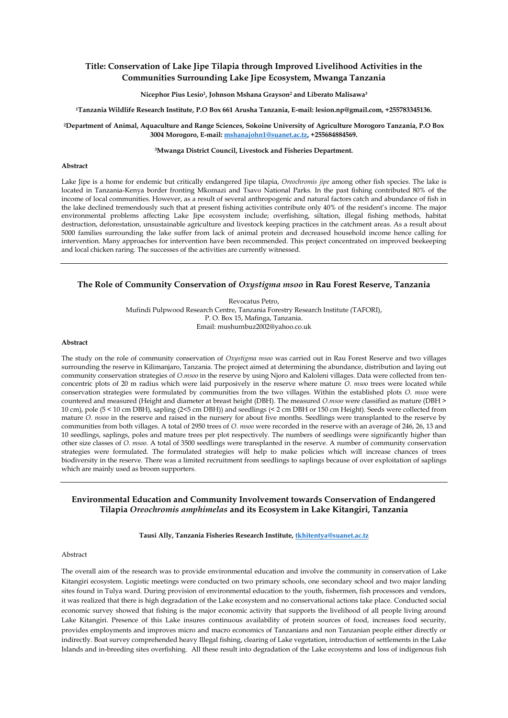#### **Title: Conservation of Lake Jipe Tilapia through Improved Livelihood Activities in the Communities Surrounding Lake Jipe Ecosystem, Mwanga Tanzania**

#### **Nicephor Pius Lesio<sup>1</sup> , Johnson Mshana Grayson<sup>2</sup> and Liberato Malisawa<sup>3</sup>**

**<sup>1</sup>Tanzania Wildlife Research Institute, P.O Box 661 Arusha Tanzania, E-mail: lesion.np@gmail.com, +255783345136.**

**<sup>2</sup>Department of Animal, Aquaculture and Range Sciences, Sokoine University of Agriculture Morogoro Tanzania, P.O Box 3004 Morogoro, E-mail[: mshanajohn1@suanet.ac.tz,](mailto:mshanajohn1@suanet.ac.tz) +255684884569.**

#### **<sup>3</sup>Mwanga District Council, Livestock and Fisheries Department.**

#### **Abstract**

Lake Jipe is a home for endemic but critically endangered Jipe tilapia, *Oreochromis jipe* among other fish species. The lake is located in Tanzania-Kenya border fronting Mkomazi and Tsavo National Parks. In the past fishing contributed 80% of the income of local communities. However, as a result of several anthropogenic and natural factors catch and abundance of fish in the lake declined tremendously such that at present fishing activities contribute only 40% of the resident's income. The major environmental problems affecting Lake Jipe ecosystem include; overfishing, siltation, illegal fishing methods, habitat destruction, deforestation, unsustainable agriculture and livestock keeping practices in the catchment areas. As a result about 5000 families surrounding the lake suffer from lack of animal protein and decreased household income hence calling for intervention. Many approaches for intervention have been recommended. This project concentrated on improved beekeeping and local chicken raring. The successes of the activities are currently witnessed.

#### **The Role of Community Conservation of** *Oxystigma msoo* **in Rau Forest Reserve, Tanzania**

Revocatus Petro, Mufindi Pulpwood Research Centre, Tanzania Forestry Research Institute (TAFORI), P. O. Box 15, Mafinga, Tanzania. Email: mushumbuz2002@yahoo.co.uk

#### **Abstract**

The study on the role of community conservation of *Oxystigma msoo* was carried out in Rau Forest Reserve and two villages surrounding the reserve in Kilimanjaro, Tanzania. The project aimed at determining the abundance, distribution and laying out community conservation strategies of *O.msoo* in the reserve by using Njoro and Kaloleni villages. Data were collected from tenconcentric plots of 20 m radius which were laid purposively in the reserve where mature *O. msoo* trees were located while conservation strategies were formulated by communities from the two villages. Within the established plots *O. msoo* were countered and measured (Height and diameter at breast height (DBH). The measured *O.msoo* were classified as mature (DBH > 10 cm), pole (5 < 10 cm DBH), sapling (2<5 cm DBH)) and seedlings (< 2 cm DBH or 150 cm Height). Seeds were collected from mature *O. msoo* in the reserve and raised in the nursery for about five months. Seedlings were transplanted to the reserve by communities from both villages. A total of 2950 trees of *O. msoo* were recorded in the reserve with an average of 246, 26, 13 and 10 seedlings, saplings, poles and mature trees per plot respectively. The numbers of seedlings were significantly higher than other size classes of *O. msoo.* A total of 3500 seedlings were transplanted in the reserve. A number of community conservation strategies were formulated. The formulated strategies will help to make policies which will increase chances of trees biodiversity in the reserve*.* There was a limited recruitment from seedlings to saplings because of over exploitation of saplings which are mainly used as broom supporters.

#### **Environmental Education and Community Involvement towards Conservation of Endangered Tilapia** *Oreochromis amphimelas* **and its Ecosystem in Lake Kitangiri, Tanzania**

**Tausi Ally, Tanzania Fisheries Research Institute[, tkhitentya@suanet.ac.tz](mailto:tkhitentya@suanet.ac.tz)**

#### Abstract

The overall aim of the research was to provide environmental education and involve the community in conservation of Lake Kitangiri ecosystem. Logistic meetings were conducted on two primary schools, one secondary school and two major landing sites found in Tulya ward. During provision of environmental education to the youth, fishermen, fish processors and vendors, it was realized that there is high degradation of the Lake ecosystem and no conservational actions take place. Conducted social economic survey showed that fishing is the major economic activity that supports the livelihood of all people living around Lake Kitangiri. Presence of this Lake insures continuous availability of protein sources of food, increases food security, provides employments and improves micro and macro economics of Tanzanians and non Tanzanian people either directly or indirectly. Boat survey comprehended heavy Illegal fishing, clearing of Lake vegetation, introduction of settlements in the Lake Islands and in-breeding sites overfishing. All these result into degradation of the Lake ecosystems and loss of indigenous fish